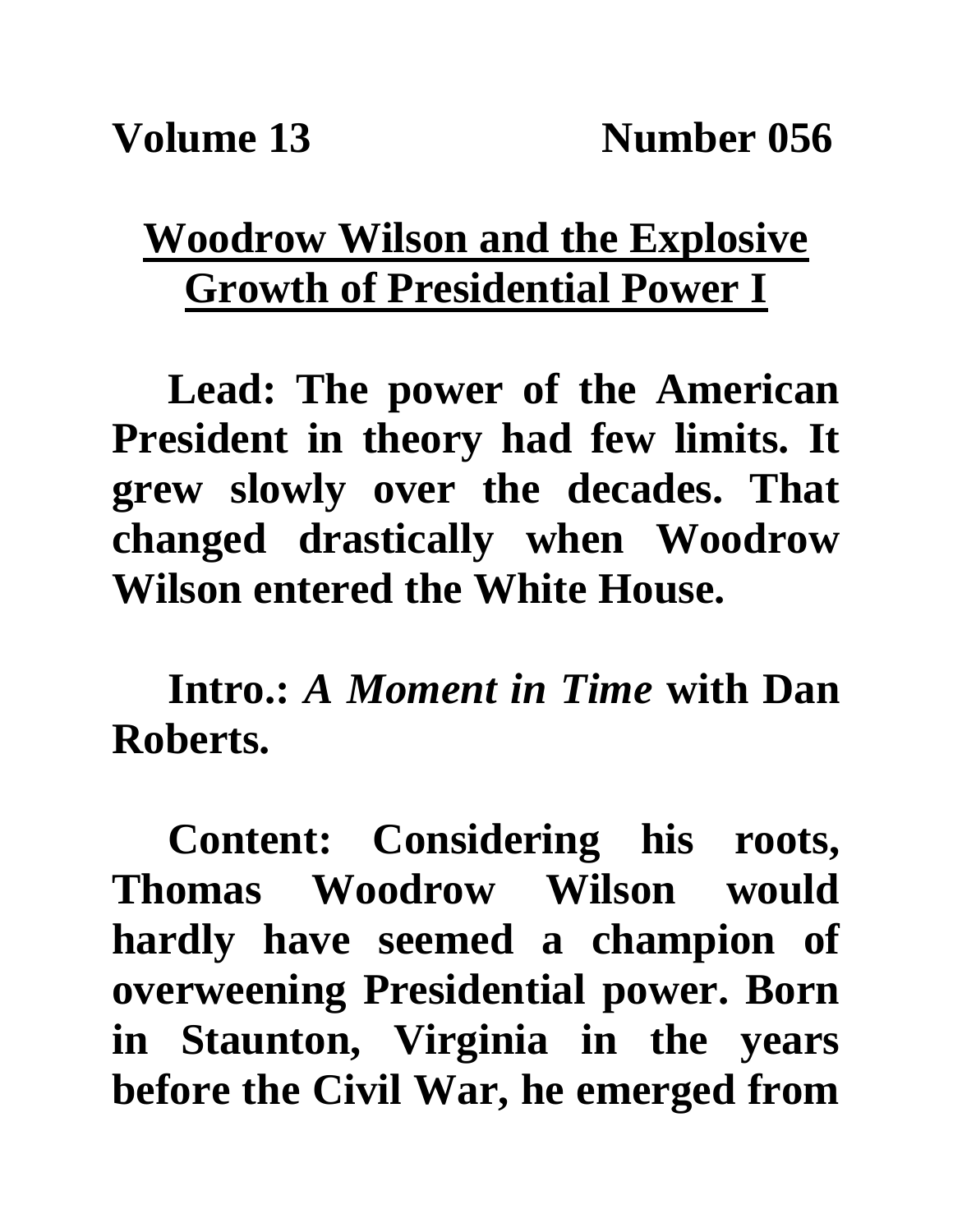## **Woodrow Wilson and the Explosive Growth of Presidential Power I**

**Lead: The power of the American President in theory had few limits. It grew slowly over the decades. That changed drastically when Woodrow Wilson entered the White House.**

**Intro.:** *A Moment in Time* **with Dan Roberts.**

**Content: Considering his roots, Thomas Woodrow Wilson would hardly have seemed a champion of overweening Presidential power. Born in Staunton, Virginia in the years before the Civil War, he emerged from**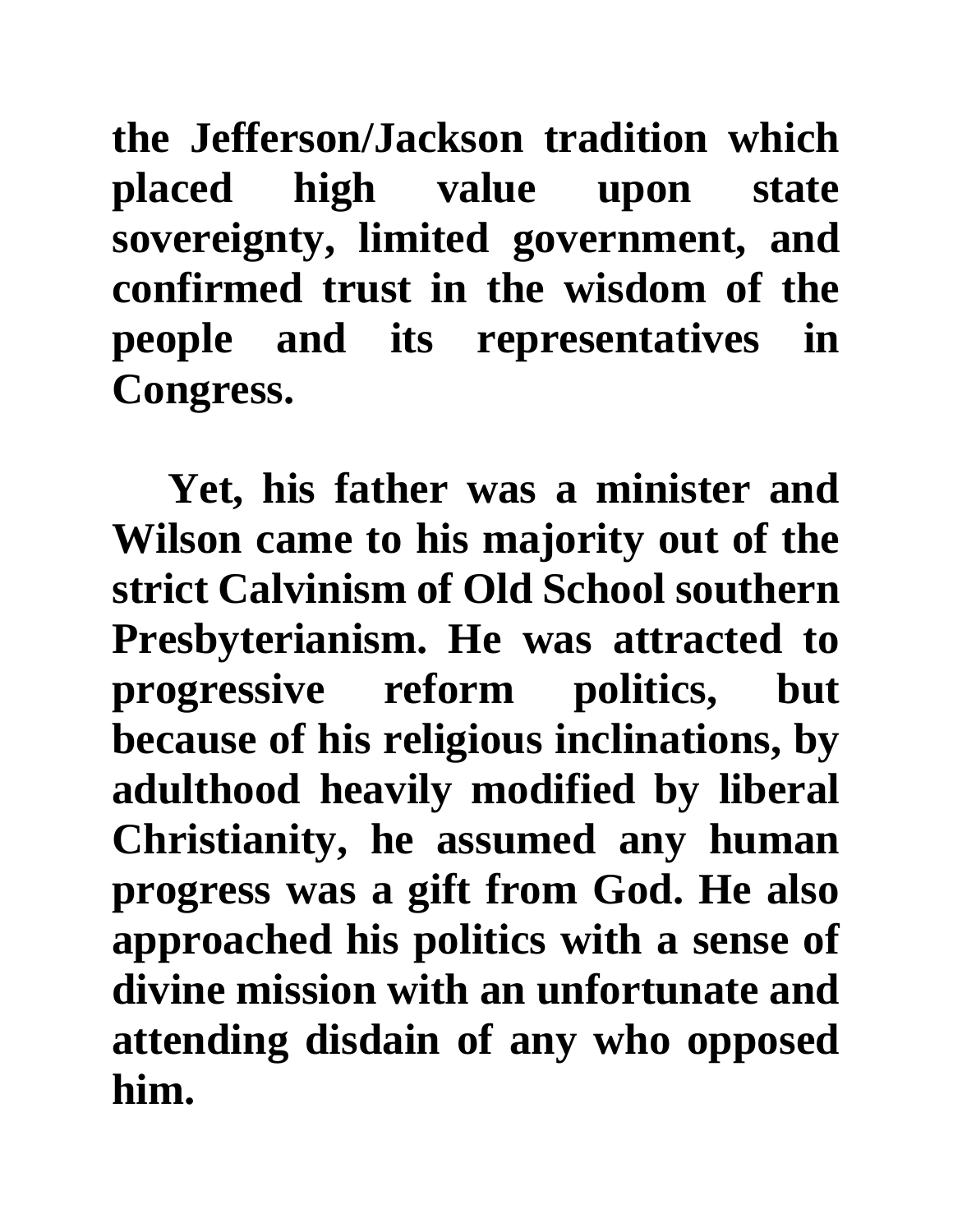**the Jefferson/Jackson tradition which placed high value upon state sovereignty, limited government, and confirmed trust in the wisdom of the people and its representatives in Congress.** 

**Yet, his father was a minister and Wilson came to his majority out of the strict Calvinism of Old School southern Presbyterianism. He was attracted to progressive reform politics, but because of his religious inclinations, by adulthood heavily modified by liberal Christianity, he assumed any human progress was a gift from God. He also approached his politics with a sense of divine mission with an unfortunate and attending disdain of any who opposed him.**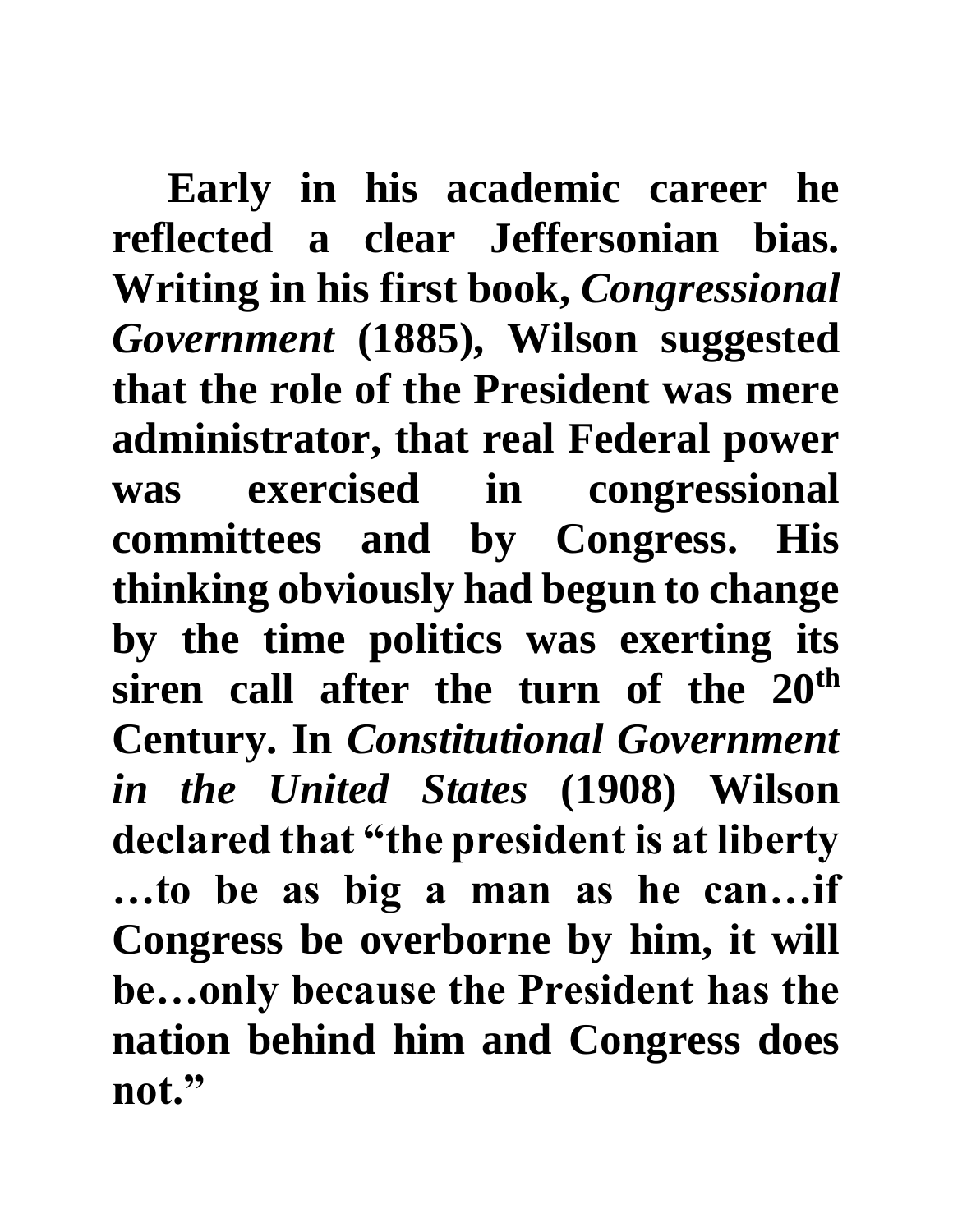**Early in his academic career he reflected a clear Jeffersonian bias. Writing in his first book,** *Congressional Government* **(1885), Wilson suggested that the role of the President was mere administrator, that real Federal power was exercised in congressional committees and by Congress. His thinking obviously had begun to change by the time politics was exerting its siren call after the turn of the 20th Century. In** *Constitutional Government in the United States* **(1908) Wilson declared that "the president is at liberty …to be as big a man as he can…if Congress be overborne by him, it will be…only because the President has the nation behind him and Congress does not."**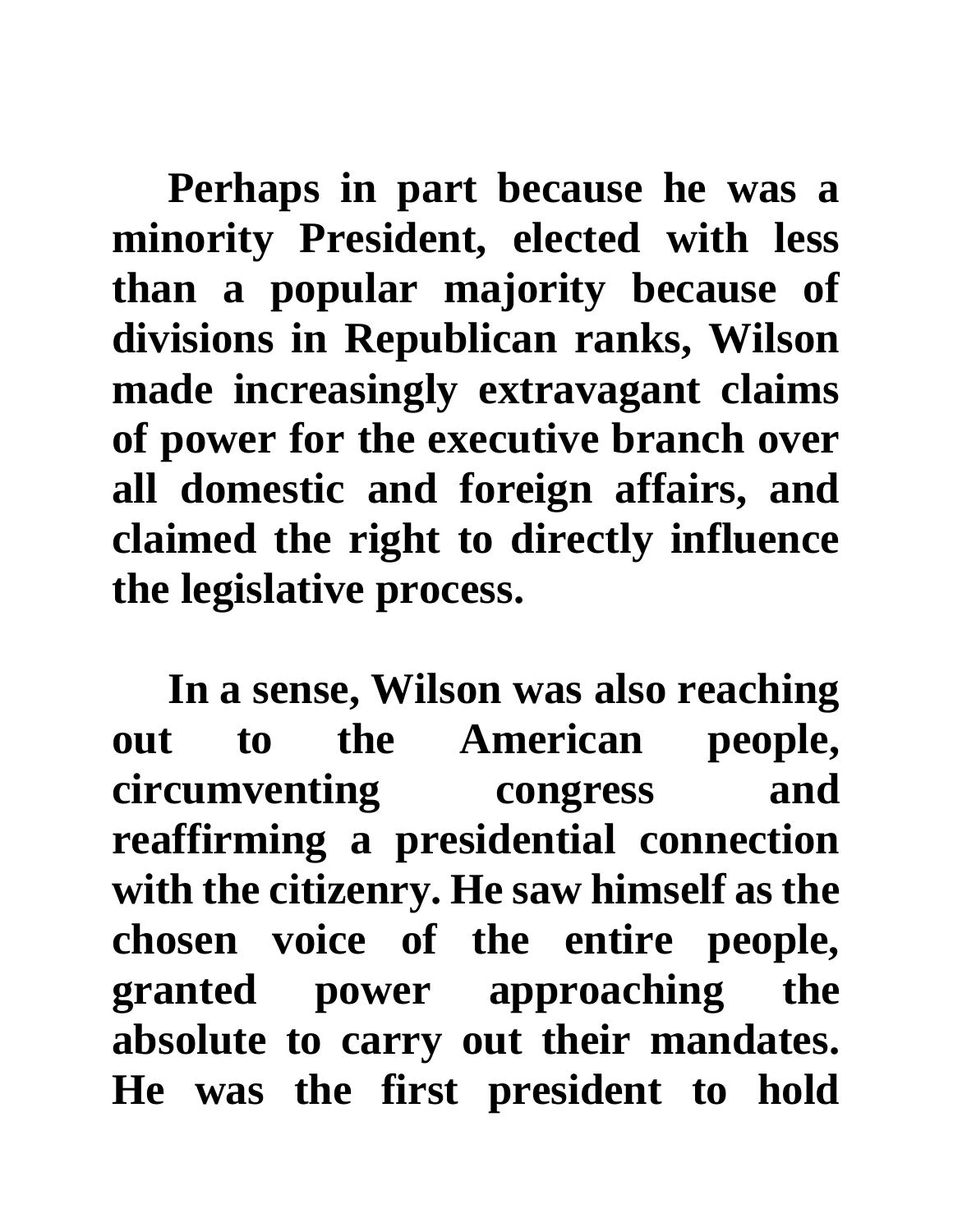**Perhaps in part because he was a minority President, elected with less than a popular majority because of divisions in Republican ranks, Wilson made increasingly extravagant claims of power for the executive branch over all domestic and foreign affairs, and claimed the right to directly influence the legislative process.** 

**In a sense, Wilson was also reaching out to the American people, circumventing congress and reaffirming a presidential connection with the citizenry. He saw himself as the chosen voice of the entire people, granted power approaching the absolute to carry out their mandates. He was the first president to hold**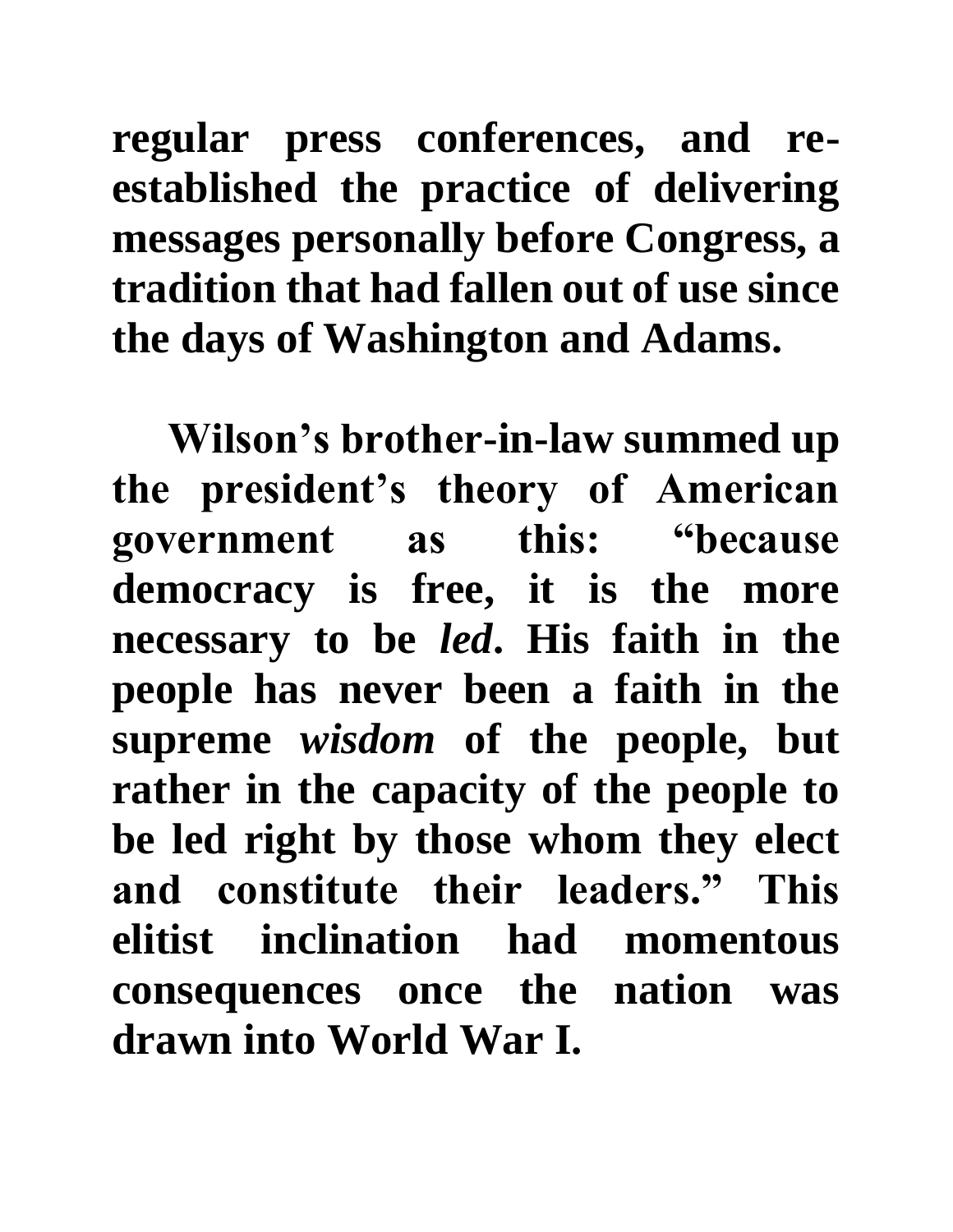**regular press conferences, and reestablished the practice of delivering messages personally before Congress, a tradition that had fallen out of use since the days of Washington and Adams.** 

**Wilson's brother-in-law summed up the president's theory of American government as this: "because democracy is free, it is the more necessary to be** *led***. His faith in the people has never been a faith in the supreme** *wisdom* **of the people, but rather in the capacity of the people to be led right by those whom they elect and constitute their leaders." This elitist inclination had momentous consequences once the nation was drawn into World War I.**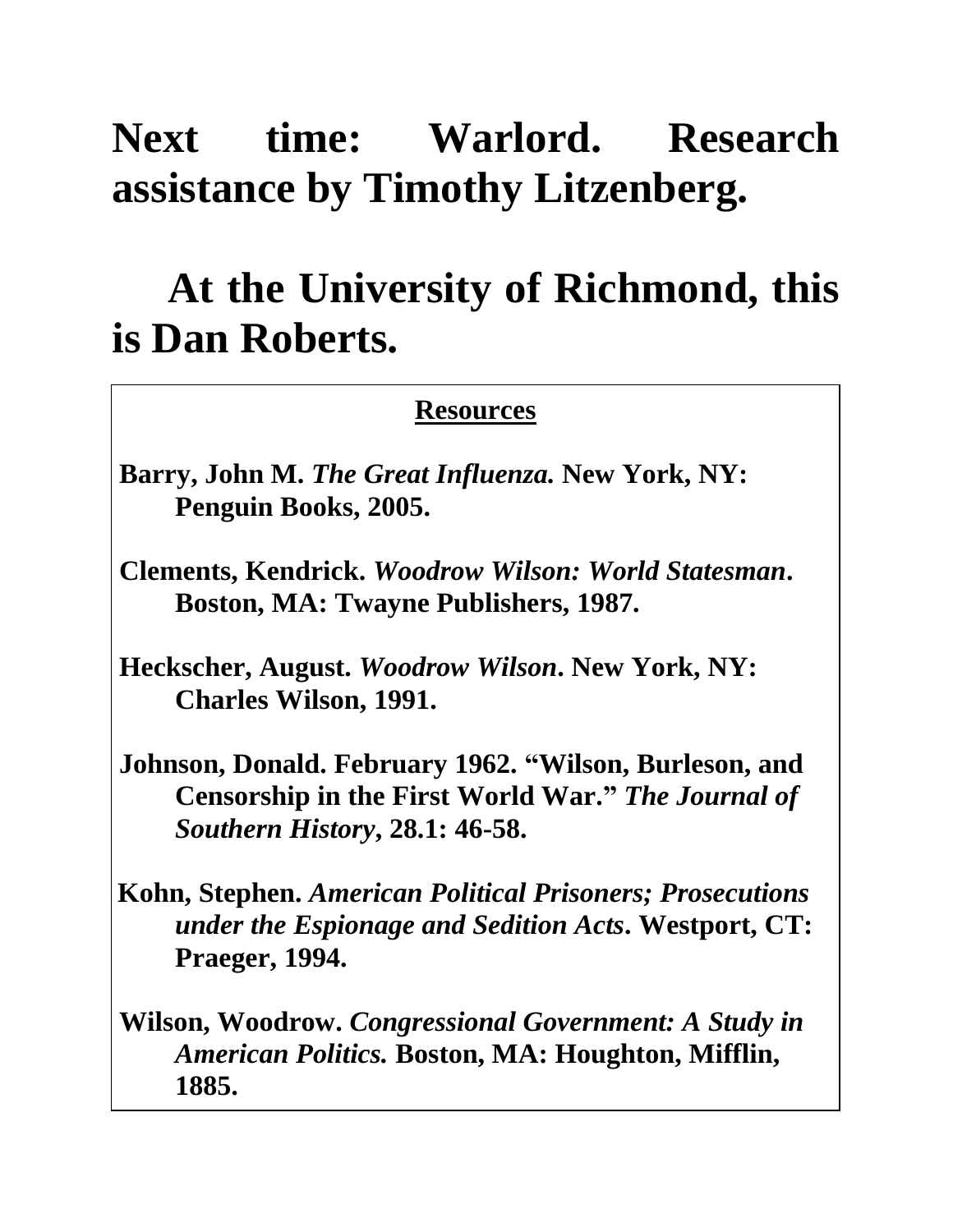## **Next time: Warlord. Research assistance by Timothy Litzenberg.**

## **At the University of Richmond, this is Dan Roberts.**

## **Resources**

- **Barry, John M.** *The Great Influenza.* **New York, NY: Penguin Books, 2005.**
- **Clements, Kendrick.** *Woodrow Wilson: World Statesman***. Boston, MA: Twayne Publishers, 1987.**
- **Heckscher, August.** *Woodrow Wilson***. New York, NY: Charles Wilson, 1991.**
- **Johnson, Donald. February 1962. "Wilson, Burleson, and Censorship in the First World War."** *The Journal of Southern History***, 28.1: 46-58.**
- **Kohn, Stephen.** *American Political Prisoners; Prosecutions under the Espionage and Sedition Acts***. Westport, CT: Praeger, 1994.**
- **Wilson, Woodrow.** *Congressional Government: A Study in American Politics.* **Boston, MA: Houghton, Mifflin, 1885.**